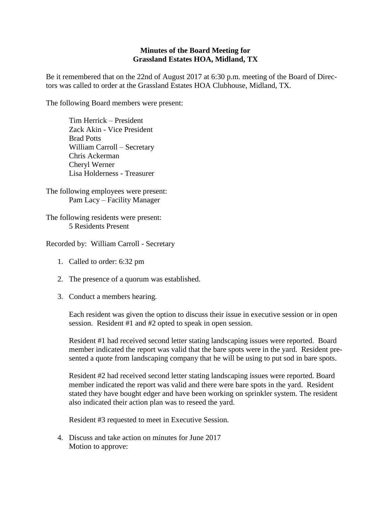## **Minutes of the Board Meeting for Grassland Estates HOA, Midland, TX**

Be it remembered that on the 22nd of August 2017 at 6:30 p.m. meeting of the Board of Directors was called to order at the Grassland Estates HOA Clubhouse, Midland, TX.

The following Board members were present:

Tim Herrick – President Zack Akin - Vice President Brad Potts William Carroll – Secretary Chris Ackerman Cheryl Werner Lisa Holderness - Treasurer

The following employees were present: Pam Lacy – Facility Manager

The following residents were present: 5 Residents Present

Recorded by: William Carroll - Secretary

- 1. Called to order: 6:32 pm
- 2. The presence of a quorum was established.
- 3. Conduct a members hearing.

Each resident was given the option to discuss their issue in executive session or in open session. Resident #1 and #2 opted to speak in open session.

Resident #1 had received second letter stating landscaping issues were reported. Board member indicated the report was valid that the bare spots were in the yard. Resident presented a quote from landscaping company that he will be using to put sod in bare spots.

Resident #2 had received second letter stating landscaping issues were reported. Board member indicated the report was valid and there were bare spots in the yard. Resident stated they have bought edger and have been working on sprinkler system. The resident also indicated their action plan was to reseed the yard.

Resident #3 requested to meet in Executive Session.

4. Discuss and take action on minutes for June 2017 Motion to approve: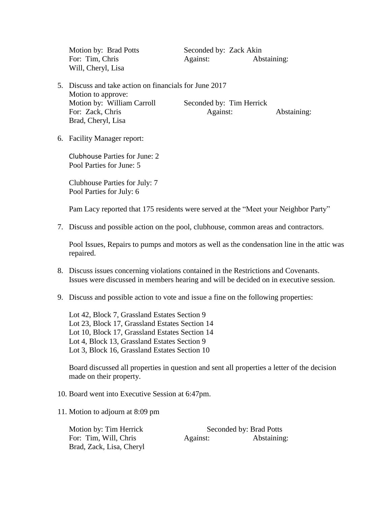Motion by: Brad Potts Seconded by: Zack Akin Will, Cheryl, Lisa

For: Tim, Chris Against: Abstaining:

- 5. Discuss and take action on financials for June 2017 Motion to approve: Motion by: William Carroll Seconded by: Tim Herrick For: Zack, Chris Against: Abstaining: Abstaining: Brad, Cheryl, Lisa
- 6. Facility Manager report:

Clubhouse Parties for June: 2 Pool Parties for June: 5

Clubhouse Parties for July: 7 Pool Parties for July: 6

Pam Lacy reported that 175 residents were served at the "Meet your Neighbor Party"

7. Discuss and possible action on the pool, clubhouse, common areas and contractors.

Pool Issues, Repairs to pumps and motors as well as the condensation line in the attic was repaired.

- 8. Discuss issues concerning violations contained in the Restrictions and Covenants. Issues were discussed in members hearing and will be decided on in executive session.
- 9. Discuss and possible action to vote and issue a fine on the following properties:

Lot 42, Block 7, Grassland Estates Section 9 Lot 23, Block 17, Grassland Estates Section 14 Lot 10, Block 17, Grassland Estates Section 14 Lot 4, Block 13, Grassland Estates Section 9 Lot 3, Block 16, Grassland Estates Section 10

Board discussed all properties in question and sent all properties a letter of the decision made on their property.

- 10. Board went into Executive Session at 6:47pm.
- 11. Motion to adjourn at 8:09 pm

| Motion by: Tim Herrick   | Seconded by: Brad Potts |             |
|--------------------------|-------------------------|-------------|
| For: Tim, Will, Chris    | Against:                | Abstaining: |
| Brad, Zack, Lisa, Cheryl |                         |             |